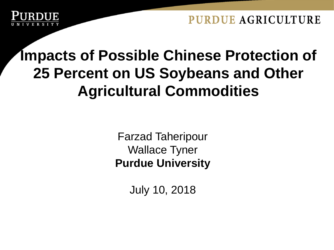### **Impacts of Possible Chinese Protection of 25 Percent on US Soybeans and Other Agricultural Commodities**

Farzad Taheripour Wallace Tyner **Purdue University**

July 10, 2018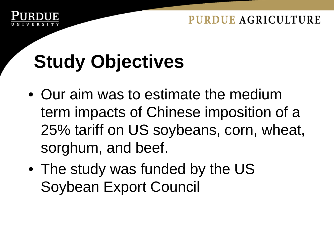

# **Study Objectives**

- Our aim was to estimate the medium term impacts of Chinese imposition of a 25% tariff on US soybeans, corn, wheat, sorghum, and beef.
- The study was funded by the US Soybean Export Council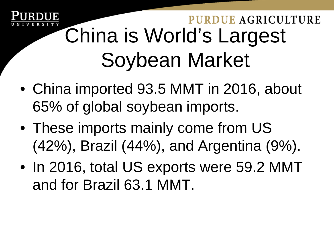## PURDUE AGRICULTURE China is World's Largest Soybean Market

- China imported 93.5 MMT in 2016, about 65% of global soybean imports.
- These imports mainly come from US (42%), Brazil (44%), and Argentina (9%).
- In 2016, total US exports were 59.2 MMT and for Brazil 63.1 MMT.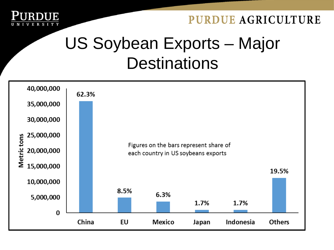

### US Soybean Exports – Major **Destinations**

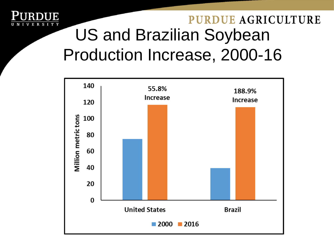

### **PURDUE AGRICULTURE** US and Brazilian Soybean Production Increase, 2000-16

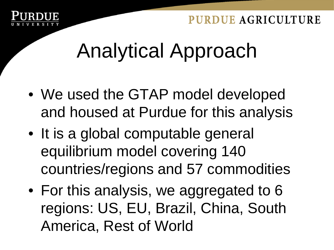

# Analytical Approach

- We used the GTAP model developed and housed at Purdue for this analysis
- It is a global computable general equilibrium model covering 140 countries/regions and 57 commodities
- For this analysis, we aggregated to 6 regions: US, EU, Brazil, China, South America, Rest of World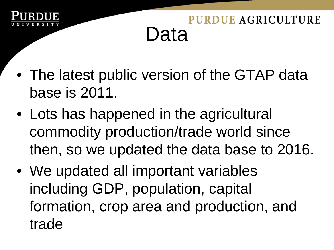

### **PURDUE AGRICULTURE** Data

- The latest public version of the GTAP data base is 2011.
- Lots has happened in the agricultural commodity production/trade world since then, so we updated the data base to 2016.
- We updated all important variables including GDP, population, capital formation, crop area and production, and trade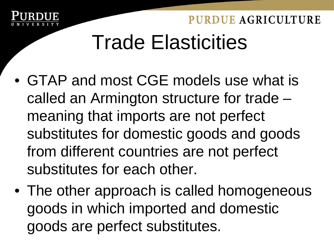

# Trade Elasticities

- GTAP and most CGE models use what is called an Armington structure for trade – meaning that imports are not perfect substitutes for domestic goods and goods from different countries are not perfect substitutes for each other.
- The other approach is called homogeneous goods in which imported and domestic goods are perfect substitutes.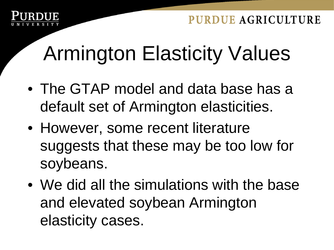

# Armington Elasticity Values

- The GTAP model and data base has a default set of Armington elasticities.
- However, some recent literature suggests that these may be too low for soybeans.
- We did all the simulations with the base and elevated soybean Armington elasticity cases.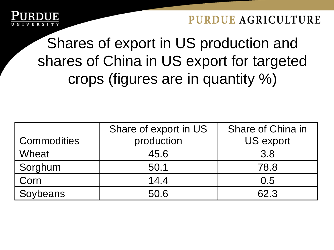

Shares of export in US production and shares of China in US export for targeted crops (figures are in quantity %)

|                    | Share of export in US | Share of China in |  |
|--------------------|-----------------------|-------------------|--|
| <b>Commodities</b> | production            | <b>US export</b>  |  |
| Wheat              | 45.6                  | 3.8               |  |
| Sorghum            | 50.1                  | 78.8              |  |
| Corn               | 14.4                  | 0.5               |  |
| Soybeans           | 50.6                  | 62.3              |  |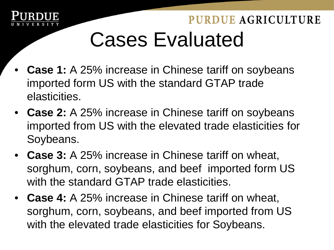

### PURDUE AGRICULTURE Cases Evaluated

- **Case 1:** A 25% increase in Chinese tariff on soybeans imported form US with the standard GTAP trade elasticities.
- **Case 2:** A 25% increase in Chinese tariff on soybeans imported from US with the elevated trade elasticities for Soybeans.
- **Case 3:** A 25% increase in Chinese tariff on wheat, sorghum, corn, soybeans, and beef imported form US with the standard GTAP trade elasticities.
- **Case 4:** A 25% increase in Chinese tariff on wheat, sorghum, corn, soybeans, and beef imported from US with the elevated trade elasticities for Soybeans.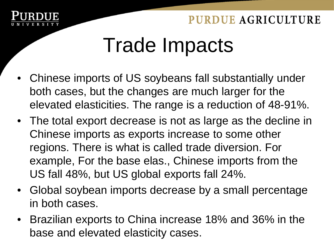

# Trade Impacts

- Chinese imports of US soybeans fall substantially under both cases, but the changes are much larger for the elevated elasticities. The range is a reduction of 48-91%.
- The total export decrease is not as large as the decline in Chinese imports as exports increase to some other regions. There is what is called trade diversion. For example, For the base elas., Chinese imports from the US fall 48%, but US global exports fall 24%.
- Global soybean imports decrease by a small percentage in both cases.
- Brazilian exports to China increase 18% and 36% in the base and elevated elasticity cases.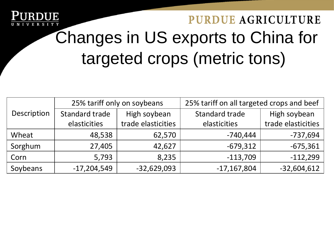

### **PURDUE AGRICULTURE** Changes in US exports to China for targeted crops (metric tons)

|             | 25% tariff only on soybeans |                    | 25% tariff on all targeted crops and beef |                    |
|-------------|-----------------------------|--------------------|-------------------------------------------|--------------------|
| Description | Standard trade              | High soybean       | Standard trade                            | High soybean       |
|             | elasticities                | trade elasticities | elasticities                              | trade elasticities |
| Wheat       | 48,538                      | 62,570             | $-740,444$                                | $-737,694$         |
| Sorghum     | 27,405                      | 42,627             | $-679,312$                                | $-675,361$         |
| Corn        | 5,793                       | 8,235              | $-113,709$                                | $-112,299$         |
| Soybeans    | $-17,204,549$               | $-32,629,093$      | $-17,167,804$                             | $-32,604,612$      |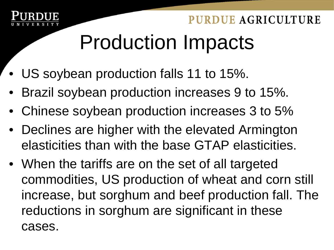

# Production Impacts

- US soybean production falls 11 to 15%.
- Brazil soybean production increases 9 to 15%.
- Chinese soybean production increases 3 to 5%
- Declines are higher with the elevated Armington elasticities than with the base GTAP elasticities.
- When the tariffs are on the set of all targeted commodities, US production of wheat and corn still increase, but sorghum and beef production fall. The reductions in sorghum are significant in these cases.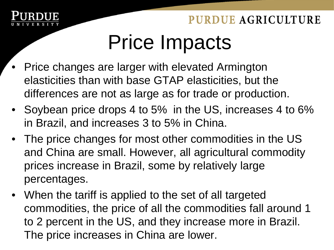

# Price Impacts

- Price changes are larger with elevated Armington elasticities than with base GTAP elasticities, but the differences are not as large as for trade or production.
- Soybean price drops 4 to 5% in the US, increases 4 to 6% in Brazil, and increases 3 to 5% in China.
- The price changes for most other commodities in the US and China are small. However, all agricultural commodity prices increase in Brazil, some by relatively large percentages.
- When the tariff is applied to the set of all targeted commodities, the price of all the commodities fall around 1 to 2 percent in the US, and they increase more in Brazil. The price increases in China are lower.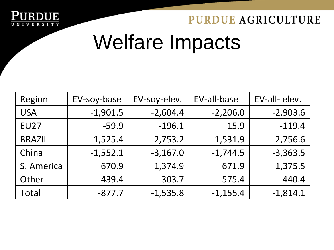

# Welfare Impacts

| Region        | EV-soy-base | EV-soy-elev. | EV-all-base | EV-all-elev. |
|---------------|-------------|--------------|-------------|--------------|
| <b>USA</b>    | $-1,901.5$  | $-2,604.4$   | $-2,206.0$  | $-2,903.6$   |
| <b>EU27</b>   | $-59.9$     | $-196.1$     | 15.9        | $-119.4$     |
| <b>BRAZIL</b> | 1,525.4     | 2,753.2      | 1,531.9     | 2,756.6      |
| China         | $-1,552.1$  | $-3,167.0$   | $-1,744.5$  | $-3,363.5$   |
| S. America    | 670.9       | 1,374.9      | 671.9       | 1,375.5      |
| Other         | 439.4       | 303.7        | 575.4       | 440.4        |
| Total         | $-877.7$    | $-1,535.8$   | $-1,155.4$  | $-1,814.1$   |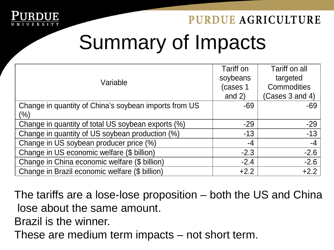

# Summary of Impacts

|                                                       | Tariff on | Tariff on all      |
|-------------------------------------------------------|-----------|--------------------|
| Variable                                              | soybeans  | targeted           |
|                                                       | (cases 1  | <b>Commodities</b> |
|                                                       | and $2)$  | (Cases 3 and 4)    |
| Change in quantity of China's soybean imports from US | $-69$     | $-69$              |
| (%)                                                   |           |                    |
| Change in quantity of total US soybean exports (%)    | $-29$     | $-29$              |
| Change in quantity of US soybean production (%)       | $-13$     | $-13$              |
| Change in US soybean producer price (%)               | -4        | $-4$               |
| Change in US economic welfare (\$ billion)            | $-2.3$    | $-2.6$             |
| Change in China economic welfare (\$ billion)         | $-2.4$    | $-2.6$             |
| Change in Brazil economic welfare (\$ billion)        | $+2.2$    | $+2.2$             |

The tariffs are a lose-lose proposition – both the US and China lose about the same amount.

Brazil is the winner.

These are medium term impacts – not short term.